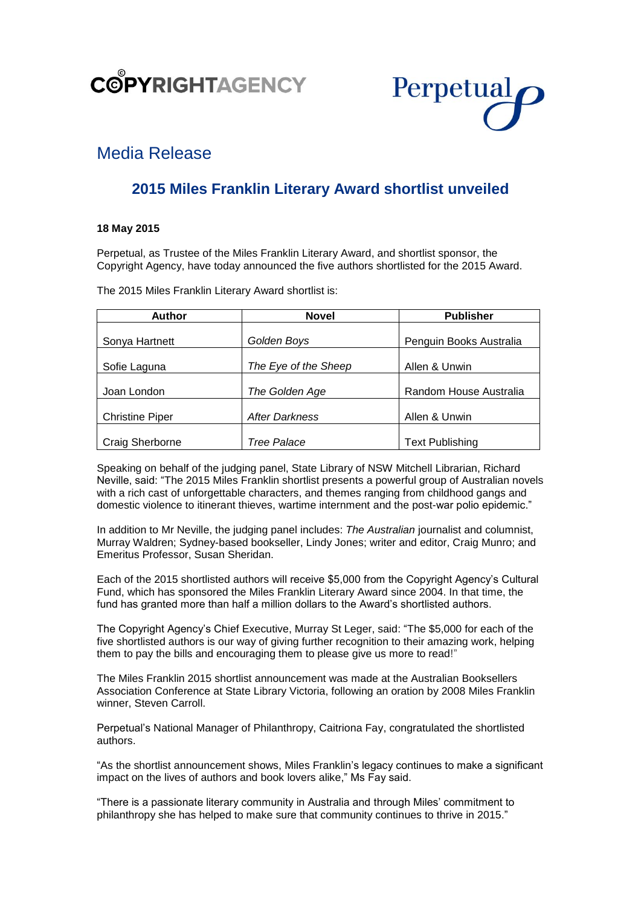

# Perpetual

# Media Release

# **2015 Miles Franklin Literary Award shortlist unveiled**

# **18 May 2015**

Perpetual, as Trustee of the Miles Franklin Literary Award, and shortlist sponsor, the Copyright Agency, have today announced the five authors shortlisted for the 2015 Award.

The 2015 Miles Franklin Literary Award shortlist is:

| <b>Author</b>          | <b>Novel</b>                          | <b>Publisher</b>        |  |
|------------------------|---------------------------------------|-------------------------|--|
|                        |                                       |                         |  |
| Sonya Hartnett         | Golden Boys                           | Penguin Books Australia |  |
|                        |                                       |                         |  |
| Sofie Laguna           | The Eye of the Sheep                  | Allen & Unwin           |  |
|                        |                                       |                         |  |
| Joan London            | The Golden Age                        | Random House Australia  |  |
|                        |                                       |                         |  |
| <b>Christine Piper</b> | <b>After Darkness</b>                 | Allen & Unwin           |  |
|                        |                                       |                         |  |
| Craig Sherborne        | <b>Text Publishing</b><br>Tree Palace |                         |  |

Speaking on behalf of the judging panel, State Library of NSW Mitchell Librarian, Richard Neville, said: "The 2015 Miles Franklin shortlist presents a powerful group of Australian novels with a rich cast of unforgettable characters, and themes ranging from childhood gangs and domestic violence to itinerant thieves, wartime internment and the post-war polio epidemic."

In addition to Mr Neville, the judging panel includes: *The Australian* journalist and columnist, Murray Waldren; Sydney-based bookseller, Lindy Jones; writer and editor, Craig Munro; and Emeritus Professor, Susan Sheridan.

Each of the 2015 shortlisted authors will receive \$5,000 from the Copyright Agency's Cultural Fund, which has sponsored the Miles Franklin Literary Award since 2004. In that time, the fund has granted more than half a million dollars to the Award's shortlisted authors.

The Copyright Agency's Chief Executive, Murray St Leger, said: "The \$5,000 for each of the five shortlisted authors is our way of giving further recognition to their amazing work, helping them to pay the bills and encouraging them to please give us more to read!"

The Miles Franklin 2015 shortlist announcement was made at the Australian Booksellers Association Conference at State Library Victoria, following an oration by 2008 Miles Franklin winner, Steven Carroll.

Perpetual's National Manager of Philanthropy, Caitriona Fay, congratulated the shortlisted authors.

"As the shortlist announcement shows, Miles Franklin's legacy continues to make a significant impact on the lives of authors and book lovers alike," Ms Fay said.

"There is a passionate literary community in Australia and through Miles' commitment to philanthropy she has helped to make sure that community continues to thrive in 2015."